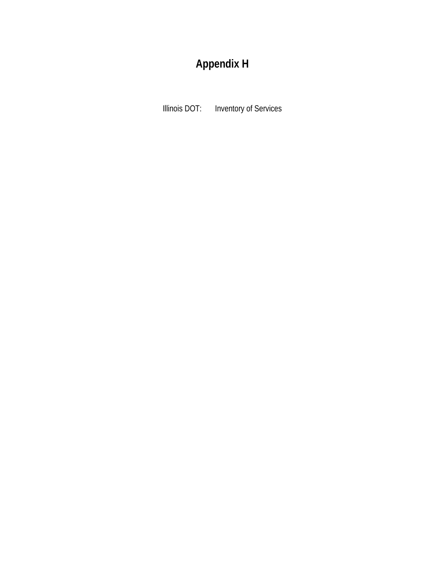# **Appendix H**

Illinois DOT: Inventory of Services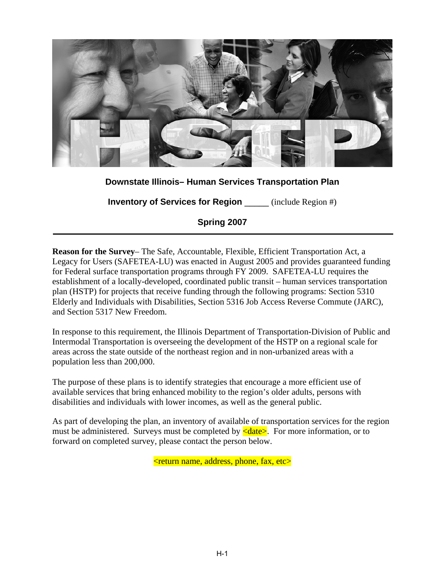

# **Downstate Illinois– Human Services Transportation Plan**

**Inventory of Services for Region** \_\_\_\_\_ (include Region #)

**Spring 2007**

**Reason for the Survey**– The Safe, Accountable, Flexible, Efficient Transportation Act, a Legacy for Users (SAFETEA-LU) was enacted in August 2005 and provides guaranteed funding for Federal surface transportation programs through FY 2009. SAFETEA-LU requires the establishment of a locally-developed, coordinated public transit – human services transportation plan (HSTP) for projects that receive funding through the following programs: Section 5310 Elderly and Individuals with Disabilities, Section 5316 Job Access Reverse Commute (JARC), and Section 5317 New Freedom.

In response to this requirement, the Illinois Department of Transportation-Division of Public and Intermodal Transportation is overseeing the development of the HSTP on a regional scale for areas across the state outside of the northeast region and in non-urbanized areas with a population less than 200,000.

The purpose of these plans is to identify strategies that encourage a more efficient use of available services that bring enhanced mobility to the region's older adults, persons with disabilities and individuals with lower incomes, as well as the general public.

As part of developing the plan, an inventory of available of transportation services for the region must be administered. Surveys must be completed by  $\leq$  date  $\geq$ . For more information, or to forward on completed survey, please contact the person below.

<return name, address, phone, fax, etc>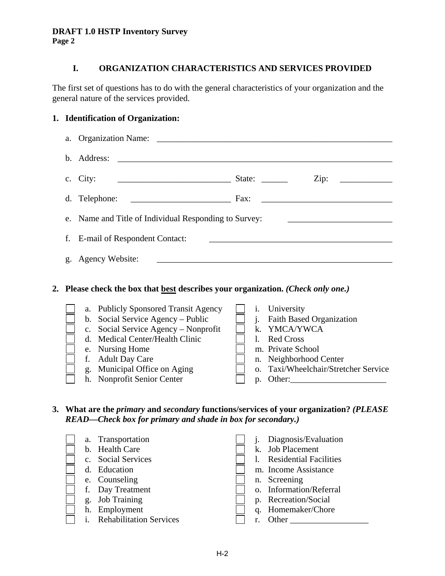**Page 2** 

# **I. ORGANIZATION CHARACTERISTICS AND SERVICES PROVIDED**

The first set of questions has to do with the general characteristics of your organization and the general nature of the services provided.

## **1. Identification of Organization:**

| $h_{-}$ | Address:                                                                                                                                                                                                                                          |                                  |                                                                                                                                                                                                                               |
|---------|---------------------------------------------------------------------------------------------------------------------------------------------------------------------------------------------------------------------------------------------------|----------------------------------|-------------------------------------------------------------------------------------------------------------------------------------------------------------------------------------------------------------------------------|
|         | c. City:                                                                                                                                                                                                                                          |                                  | Zip:                                                                                                                                                                                                                          |
| d.      | Telephone:                                                                                                                                                                                                                                        |                                  |                                                                                                                                                                                                                               |
| e.      | Name and Title of Individual Responding to Survey:                                                                                                                                                                                                |                                  |                                                                                                                                                                                                                               |
| f.      | E-mail of Respondent Contact:                                                                                                                                                                                                                     |                                  | the control of the control of the control of the control of the control of the control of the control of the control of the control of the control of the control of the control of the control of the control of the control |
| g.      | Agency Website:                                                                                                                                                                                                                                   |                                  |                                                                                                                                                                                                                               |
|         | 2. Please check the box that <b>best</b> describes your organization. (Check only one.)                                                                                                                                                           |                                  |                                                                                                                                                                                                                               |
|         | a. Publicly Sponsored Transit Agency<br>b. Social Service Agency – Public<br>c. Social Service Agency – Nonprofit<br>Medical Center/Health Clinic<br>$d_{-}$<br>Nursing Home<br>e.<br><b>Adult Day Care</b><br>f.<br>g. Municipal Office on Aging | $\mathbf{i}$ .<br>$\mathbf{1}$ . | <i>i</i> . University<br><b>Faith Based Organization</b><br>k. YMCA/YWCA<br><b>Red Cross</b><br>m. Private School<br>n. Neighborhood Center<br>o. Taxi/Wheelchair/Stretcher Service                                           |
|         | h. Nonprofit Senior Center                                                                                                                                                                                                                        |                                  | p. Other:                                                                                                                                                                                                                     |

**3. What are the** *primary* **and** *secondary* **functions/services of your organization?** *(PLEASE READ—Check box for primary and shade in box for secondary.)*

|  | a. Transportation              |  | Diagnosis/Evaluation          |
|--|--------------------------------|--|-------------------------------|
|  | b. Health Care                 |  | k. Job Placement              |
|  | c. Social Services             |  | <b>Residential Facilities</b> |
|  | d. Education                   |  | m. Income Assistance          |
|  | e. Counseling                  |  | n. Screening                  |
|  | f. Day Treatment               |  | o. Information/Referral       |
|  | g. Job Training                |  | p. Recreation/Social          |
|  | h. Employment                  |  | q. Homemaker/Chore            |
|  | <b>Rehabilitation Services</b> |  | Other                         |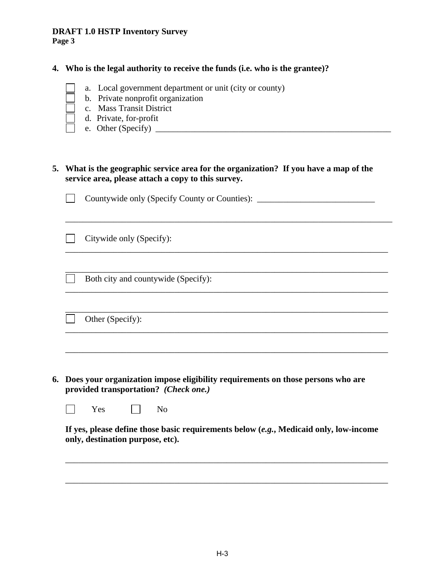**Page 3** 

## **4. Who is the legal authority to receive the funds (i.e. who is the grantee)?**

- a. Local government department or unit (city or county)
- b. Private nonprofit organization
- c. Mass Transit District
- d. Private, for-profit
- e. Other (Specify)  $\frac{1}{\sqrt{2}}$

**5. What is the geographic service area for the organization? If you have a map of the service area, please attach a copy to this survey.** 

Countywide only (Specify County or Counties): \_\_\_\_\_\_\_\_\_\_\_\_\_\_\_\_\_\_\_\_\_\_\_\_\_\_\_\_\_\_\_\_\_\_  $\mathcal{L}^{\mathcal{L}}$ 

\_\_\_\_\_\_\_\_\_\_\_\_\_\_\_\_\_\_\_\_\_\_\_\_\_\_\_\_\_\_\_\_\_\_\_\_\_\_\_\_\_\_\_\_\_\_\_\_\_\_\_\_\_\_\_\_\_\_\_\_\_\_\_\_\_\_\_\_\_\_\_\_\_\_\_

\_\_\_\_\_\_\_\_\_\_\_\_\_\_\_\_\_\_\_\_\_\_\_\_\_\_\_\_\_\_\_\_\_\_\_\_\_\_\_\_\_\_\_\_\_\_\_\_\_\_\_\_\_\_\_\_\_\_\_\_\_\_\_\_\_\_\_\_\_\_\_\_\_\_

\_\_\_\_\_\_\_\_\_\_\_\_\_\_\_\_\_\_\_\_\_\_\_\_\_\_\_\_\_\_\_\_\_\_\_\_\_\_\_\_\_\_\_\_\_\_\_\_\_\_\_\_\_\_\_\_\_\_\_\_\_\_\_\_\_\_\_\_\_\_\_\_\_\_

\_\_\_\_\_\_\_\_\_\_\_\_\_\_\_\_\_\_\_\_\_\_\_\_\_\_\_\_\_\_\_\_\_\_\_\_\_\_\_\_\_\_\_\_\_\_\_\_\_\_\_\_\_\_\_\_\_\_\_\_\_\_\_\_\_\_\_\_\_\_\_\_\_\_

 $\overline{\phantom{a}}$  ,  $\overline{\phantom{a}}$  ,  $\overline{\phantom{a}}$  ,  $\overline{\phantom{a}}$  ,  $\overline{\phantom{a}}$  ,  $\overline{\phantom{a}}$  ,  $\overline{\phantom{a}}$  ,  $\overline{\phantom{a}}$  ,  $\overline{\phantom{a}}$  ,  $\overline{\phantom{a}}$  ,  $\overline{\phantom{a}}$  ,  $\overline{\phantom{a}}$  ,  $\overline{\phantom{a}}$  ,  $\overline{\phantom{a}}$  ,  $\overline{\phantom{a}}$  ,  $\overline{\phantom{a}}$ 

 $\overline{\phantom{a}}$  , and the contribution of the contribution of the contribution of the contribution of the contribution of the contribution of the contribution of the contribution of the contribution of the contribution of the

 $\Box$  Citywide only (Specify):

Both city and countywide (Specify):

Other (Specify):

**6. Does your organization impose eligibility requirements on those persons who are provided transportation?** *(Check one.)* 

 $\Box$  Yes  $\Box$  No

**If yes, please define those basic requirements below (***e.g.***, Medicaid only, low-income only, destination purpose, etc).** 

\_\_\_\_\_\_\_\_\_\_\_\_\_\_\_\_\_\_\_\_\_\_\_\_\_\_\_\_\_\_\_\_\_\_\_\_\_\_\_\_\_\_\_\_\_\_\_\_\_\_\_\_\_\_\_\_\_\_\_\_\_\_\_\_\_\_\_\_\_\_\_\_\_\_

 $\overline{\phantom{a}}$  , and the contribution of the contribution of the contribution of the contribution of the contribution of the contribution of the contribution of the contribution of the contribution of the contribution of the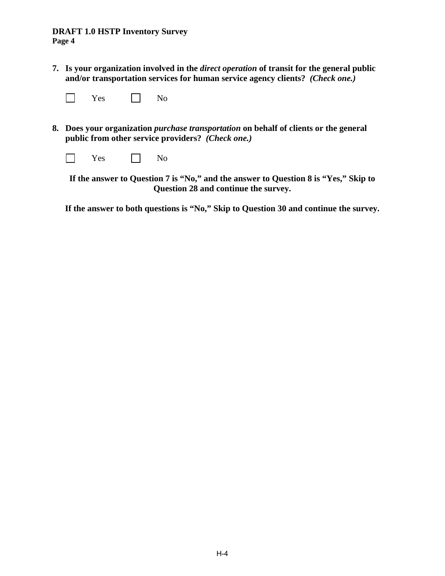**7. Is your organization involved in the** *direct operation* **of transit for the general public and/or transportation services for human service agency clients?** *(Check one.)* 

| ex<br>- - |  | ง∩ |
|-----------|--|----|
|-----------|--|----|

**8. Does your organization** *purchase transportation* **on behalf of clients or the general public from other service providers?** *(Check one.)* 

| Yes | No |
|-----|----|
|-----|----|

**If the answer to Question 7 is "No," and the answer to Question 8 is "Yes," Skip to Question 28 and continue the survey.** 

**If the answer to both questions is "No," Skip to Question 30 and continue the survey.**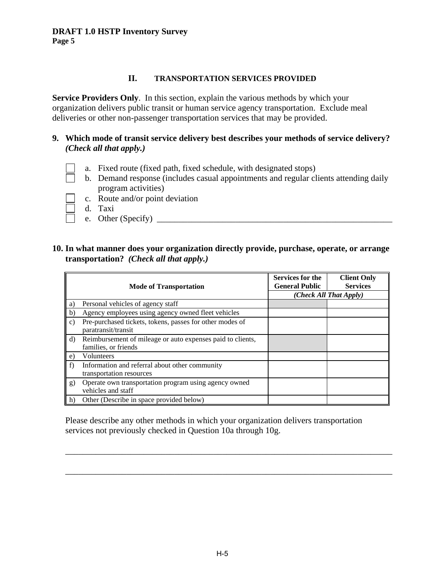#### **II. TRANSPORTATION SERVICES PROVIDED**

**Service Providers Only.** In this section, explain the various methods by which your organization delivers public transit or human service agency transportation. Exclude meal deliveries or other non-passenger transportation services that may be provided.

#### **9. Which mode of transit service delivery best describes your methods of service delivery?** *(Check all that apply.)*

- a. Fixed route (fixed path, fixed schedule, with designated stops)
- b. Demand response (includes casual appointments and regular clients attending daily program activities)
- c. Route and/or point deviation
- d. Taxi
- e. Other (Specify)  $\qquad \qquad$

#### **10. In what manner does your organization directly provide, purchase, operate, or arrange transportation?** *(Check all that apply.)*

|              | <b>Mode of Transportation</b>                                                      | Services for the<br><b>General Public</b> | <b>Client Only</b><br><b>Services</b> |  |
|--------------|------------------------------------------------------------------------------------|-------------------------------------------|---------------------------------------|--|
|              |                                                                                    | (Check All That Apply)                    |                                       |  |
| a)           | Personal vehicles of agency staff                                                  |                                           |                                       |  |
| $\mathbf{b}$ | Agency employees using agency owned fleet vehicles                                 |                                           |                                       |  |
| $\mathbf{c}$ | Pre-purchased tickets, tokens, passes for other modes of<br>paratransit/transit    |                                           |                                       |  |
| d)           | Reimbursement of mileage or auto expenses paid to clients,<br>families, or friends |                                           |                                       |  |
| e)           | Volunteers                                                                         |                                           |                                       |  |
| f)           | Information and referral about other community<br>transportation resources         |                                           |                                       |  |
| g)           | Operate own transportation program using agency owned<br>vehicles and staff        |                                           |                                       |  |
| h)           | Other (Describe in space provided below)                                           |                                           |                                       |  |

Please describe any other methods in which your organization delivers transportation services not previously checked in Question 10a through 10g.

\_\_\_\_\_\_\_\_\_\_\_\_\_\_\_\_\_\_\_\_\_\_\_\_\_\_\_\_\_\_\_\_\_\_\_\_\_\_\_\_\_\_\_\_\_\_\_\_\_\_\_\_\_\_\_\_\_\_\_\_\_\_\_\_\_\_\_\_\_\_\_\_\_\_\_

\_\_\_\_\_\_\_\_\_\_\_\_\_\_\_\_\_\_\_\_\_\_\_\_\_\_\_\_\_\_\_\_\_\_\_\_\_\_\_\_\_\_\_\_\_\_\_\_\_\_\_\_\_\_\_\_\_\_\_\_\_\_\_\_\_\_\_\_\_\_\_\_\_\_\_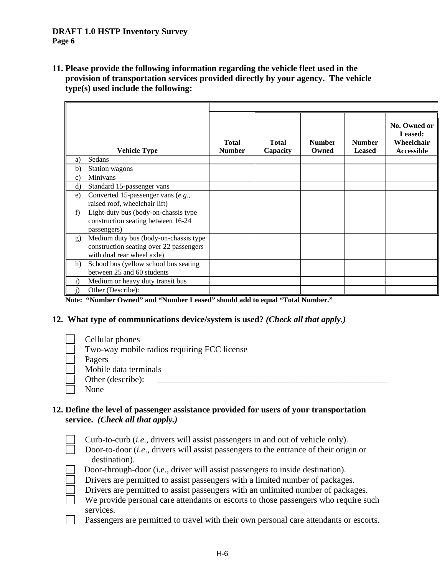**11. Please provide the following information regarding the vehicle fleet used in the provision of transportation services provided directly by your agency. The vehicle type(s) used include the following:** 

|              | <b>Vehicle Type</b>                                                                                            | <b>Total</b><br><b>Number</b> | <b>Total</b><br>Capacity | <b>Number</b><br>Owned | <b>Number</b><br><b>Leased</b> | No. Owned or<br>Leased:<br>Wheelchair<br>Accessible |
|--------------|----------------------------------------------------------------------------------------------------------------|-------------------------------|--------------------------|------------------------|--------------------------------|-----------------------------------------------------|
| a)           | Sedans                                                                                                         |                               |                          |                        |                                |                                                     |
| $\mathbf{b}$ | Station wagons                                                                                                 |                               |                          |                        |                                |                                                     |
| $\mathbf{c}$ | Minivans                                                                                                       |                               |                          |                        |                                |                                                     |
| $\rm d$      | Standard 15-passenger vans                                                                                     |                               |                          |                        |                                |                                                     |
| e)           | Converted 15-passenger vans (e.g.,<br>raised roof, wheelchair lift)                                            |                               |                          |                        |                                |                                                     |
| f)           | Light-duty bus (body-on-chassis type<br>construction seating between 16-24<br>passengers)                      |                               |                          |                        |                                |                                                     |
| g)           | Medium duty bus (body-on-chassis type<br>construction seating over 22 passengers<br>with dual rear wheel axle) |                               |                          |                        |                                |                                                     |
| h)           | School bus (yellow school bus seating<br>between 25 and 60 students                                            |                               |                          |                        |                                |                                                     |
| $\mathbf{i}$ | Medium or heavy duty transit bus                                                                               |                               |                          |                        |                                |                                                     |
| $\rm j)$     | Other (Describe):                                                                                              |                               |                          |                        |                                |                                                     |

**Note: "Number Owned" and "Number Leased" should add to equal "Total Number."** 

#### **12. What type of communications device/system is used?** *(Check all that apply.)*

 Cellular phones Two-way mobile radios requiring FCC license Pagers Mobile data terminals Other (describe): None

## **12. Define the level of passenger assistance provided for users of your transportation service.** *(Check all that apply.)*

| Curb-to-curb <i>(i.e., drivers will assist passengers in and out of vehicle only)</i> .      |
|----------------------------------------------------------------------------------------------|
| Door-to-door <i>(i.e., drivers will assist passengers to the entrance of their origin or</i> |
| destination).                                                                                |
| Door-through-door (i.e., driver will assist passengers to inside destination).               |
| Drivers are permitted to assist passengers with a limited number of packages.                |
| Drivers are permitted to assist passengers with an unlimited number of packages.             |
| We provide personal care attendants or escorts to those passengers who require such          |
| services.                                                                                    |
| Passengers are permitted to travel with their own personal care attendants or escorts.       |
|                                                                                              |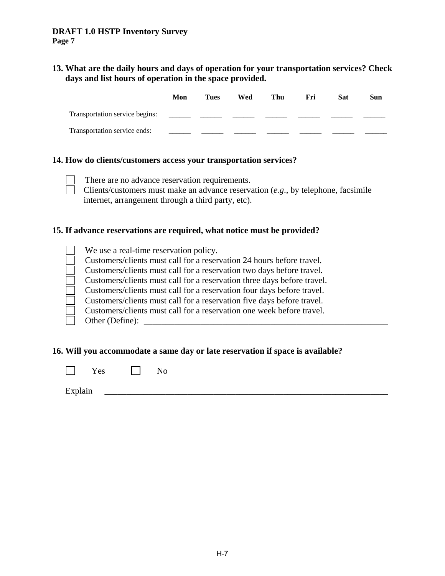**13. What are the daily hours and days of operation for your transportation services? Check days and list hours of operation in the space provided.** 

|                                | Mon | Tues | Wed | Thu | Fri | Sat | Sun |
|--------------------------------|-----|------|-----|-----|-----|-----|-----|
| Transportation service begins: |     |      |     |     |     |     |     |
| Transportation service ends:   |     |      |     |     |     |     |     |

#### **14. How do clients/customers access your transportation services?**

There are no advance reservation requirements.

 Clients/customers must make an advance reservation (*e.g*., by telephone, facsimile internet, arrangement through a third party, etc).

#### **15. If advance reservations are required, what notice must be provided?**

| We use a real-time reservation policy.                                  |
|-------------------------------------------------------------------------|
| Customers/clients must call for a reservation 24 hours before travel.   |
| Customers/clients must call for a reservation two days before travel.   |
| Customers/clients must call for a reservation three days before travel. |
| Customers/clients must call for a reservation four days before travel.  |
| Customers/clients must call for a reservation five days before travel.  |
| Customers/clients must call for a reservation one week before travel.   |
| Other (Define):                                                         |
|                                                                         |

#### **16. Will you accommodate a same day or late reservation if space is available?**

| $\mathbf{V}$<br>Yes |  | No |
|---------------------|--|----|
|---------------------|--|----|

Explain  $\Box$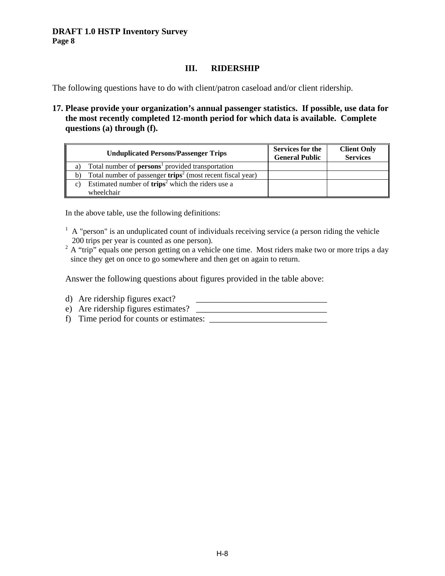# **III. RIDERSHIP**

The following questions have to do with client/patron caseload and/or client ridership.

**17. Please provide your organization's annual passenger statistics. If possible, use data for the most recently completed 12-month period for which data is available. Complete questions (a) through (f).** 

| <b>Unduplicated Persons/Passenger Trips</b>                          | <b>Services for the</b><br><b>General Public</b> | <b>Client Only</b><br><b>Services</b> |
|----------------------------------------------------------------------|--------------------------------------------------|---------------------------------------|
| Total number of <b>persons</b> provided transportation<br>a)         |                                                  |                                       |
| Total number of passenger $trips^2$ (most recent fiscal year)<br>b)  |                                                  |                                       |
| Estimated number of $trips^2$ which the riders use a<br>$\mathbf{c}$ |                                                  |                                       |
| wheelchair                                                           |                                                  |                                       |

In the above table, use the following definitions:

- $<sup>1</sup>$  A "person" is an unduplicated count of individuals receiving service (a person riding the vehicle</sup> 200 trips per year is counted as one person).
- $2 \text{ A "trip" equals one person getting on a vehicle one time. Most riders make two or more trips a day.}$ since they get on once to go somewhere and then get on again to return.

Answer the following questions about figures provided in the table above:

- d) Are ridership figures exact?
- e) Are ridership figures estimates?
- f) Time period for counts or estimates: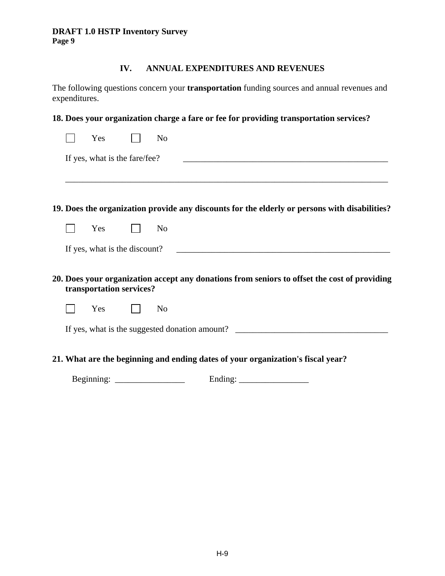# **IV. ANNUAL EXPENDITURES AND REVENUES**

The following questions concern your **transportation** funding sources and annual revenues and expenditures.

|  |                               | 18. Does your organization charge a fare or fee for providing transportation services?        |
|--|-------------------------------|-----------------------------------------------------------------------------------------------|
|  | Yes                           | N <sub>o</sub>                                                                                |
|  | If yes, what is the fare/fee? |                                                                                               |
|  |                               |                                                                                               |
|  |                               | 19. Does the organization provide any discounts for the elderly or persons with disabilities? |
|  | Yes                           | N <sub>o</sub>                                                                                |
|  | If yes, what is the discount? |                                                                                               |
|  | transportation services?      | 20. Does your organization accept any donations from seniors to offset the cost of providing  |
|  | Yes                           | N <sub>o</sub>                                                                                |
|  |                               |                                                                                               |
|  |                               | 21. What are the beginning and ending dates of your organization's fiscal year?               |

Beginning: \_\_\_\_\_\_\_\_\_\_\_\_\_\_\_\_ Ending: \_\_\_\_\_\_\_\_\_\_\_\_\_\_\_\_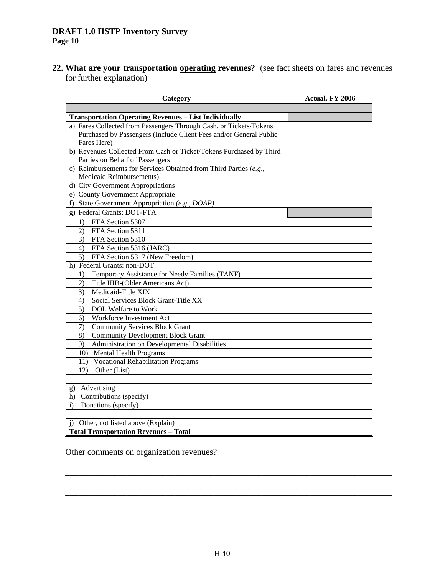**22. What are your transportation operating revenues?** (see fact sheets on fares and revenues for further explanation)

| Category                                                            | Actual, FY 2006 |
|---------------------------------------------------------------------|-----------------|
|                                                                     |                 |
| <b>Transportation Operating Revenues - List Individually</b>        |                 |
| a) Fares Collected from Passengers Through Cash, or Tickets/Tokens  |                 |
| Purchased by Passengers (Include Client Fees and/or General Public  |                 |
| Fares Here)                                                         |                 |
| b) Revenues Collected From Cash or Ticket/Tokens Purchased by Third |                 |
| Parties on Behalf of Passengers                                     |                 |
| c) Reimbursements for Services Obtained from Third Parties $(e.g.,$ |                 |
| Medicaid Reimbursements)                                            |                 |
| d) City Government Appropriations                                   |                 |
| e) County Government Appropriate                                    |                 |
| f) State Government Appropriation (e.g., DOAP)                      |                 |
| g) Federal Grants: DOT-FTA                                          |                 |
| FTA Section 5307<br>1)                                              |                 |
| 2)<br>FTA Section 5311                                              |                 |
| 3)<br>FTA Section 5310                                              |                 |
| FTA Section 5316 (JARC)<br>4)                                       |                 |
| $\overline{5)}$<br>FTA Section 5317 (New Freedom)                   |                 |
| h) Federal Grants: non-DOT                                          |                 |
| Temporary Assistance for Needy Families (TANF)<br>1)                |                 |
| Title IIIB-(Older Americans Act)<br>2)                              |                 |
| 3)<br>Medicaid-Title XIX                                            |                 |
| Social Services Block Grant-Title XX<br>4)                          |                 |
| 5)<br>DOL Welfare to Work                                           |                 |
| Workforce Investment Act<br>6)                                      |                 |
| <b>Community Services Block Grant</b><br>7)                         |                 |
| 8)<br><b>Community Development Block Grant</b>                      |                 |
| 9)<br>Administration on Developmental Disabilities                  |                 |
| 10) Mental Health Programs                                          |                 |
| 11) Vocational Rehabilitation Programs                              |                 |
| Other (List)<br>12)                                                 |                 |
|                                                                     |                 |
| Advertising<br>g)                                                   |                 |
| h) Contributions (specify)                                          |                 |
| Donations (specify)<br>$\mathbf{i}$                                 |                 |
|                                                                     |                 |
| Other, not listed above (Explain)<br>$\mathbf{i}$                   |                 |
| <b>Total Transportation Revenues - Total</b>                        |                 |

Other comments on organization revenues?

\_\_\_\_\_\_\_\_\_\_\_\_\_\_\_\_\_\_\_\_\_\_\_\_\_\_\_\_\_\_\_\_\_\_\_\_\_\_\_\_\_\_\_\_\_\_\_\_\_\_\_\_\_\_\_\_\_\_\_\_\_\_\_\_\_\_\_\_\_\_\_\_\_\_\_

\_\_\_\_\_\_\_\_\_\_\_\_\_\_\_\_\_\_\_\_\_\_\_\_\_\_\_\_\_\_\_\_\_\_\_\_\_\_\_\_\_\_\_\_\_\_\_\_\_\_\_\_\_\_\_\_\_\_\_\_\_\_\_\_\_\_\_\_\_\_\_\_\_\_\_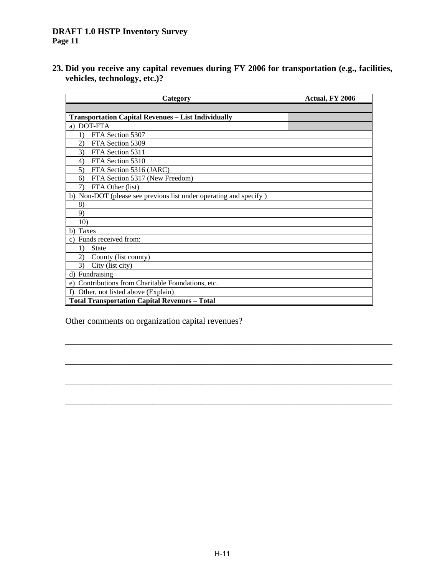**23. Did you receive any capital revenues during FY 2006 for transportation (e.g., facilities, vehicles, technology, etc.)?** 

| Category                                                          | Actual, FY 2006 |
|-------------------------------------------------------------------|-----------------|
|                                                                   |                 |
| <b>Transportation Capital Revenues - List Individually</b>        |                 |
| <b>DOT-FTA</b><br>a)                                              |                 |
| FTA Section 5307                                                  |                 |
| FTA Section 5309<br>$\mathbf{2}$                                  |                 |
| 3)<br>FTA Section 5311                                            |                 |
| FTA Section 5310<br>4)                                            |                 |
| FTA Section 5316 (JARC)<br>5)                                     |                 |
| FTA Section 5317 (New Freedom)<br>6)                              |                 |
| FTA Other (list)<br>7)                                            |                 |
| b) Non-DOT (please see previous list under operating and specify) |                 |
| 8)                                                                |                 |
| 9)                                                                |                 |
| 10)                                                               |                 |
| Taxes<br>b)                                                       |                 |
| Funds received from:<br>C)                                        |                 |
| <b>State</b><br>1)                                                |                 |
| 2)<br>County (list county)                                        |                 |
| 3)<br>City (list city)                                            |                 |
| Fundraising<br>d)                                                 |                 |
| Contributions from Charitable Foundations, etc.<br>e)             |                 |
| Other, not listed above (Explain)<br>f)                           |                 |
| <b>Total Transportation Capital Revenues - Total</b>              |                 |

\_\_\_\_\_\_\_\_\_\_\_\_\_\_\_\_\_\_\_\_\_\_\_\_\_\_\_\_\_\_\_\_\_\_\_\_\_\_\_\_\_\_\_\_\_\_\_\_\_\_\_\_\_\_\_\_\_\_\_\_\_\_\_\_\_\_\_\_\_\_\_\_\_\_\_

\_\_\_\_\_\_\_\_\_\_\_\_\_\_\_\_\_\_\_\_\_\_\_\_\_\_\_\_\_\_\_\_\_\_\_\_\_\_\_\_\_\_\_\_\_\_\_\_\_\_\_\_\_\_\_\_\_\_\_\_\_\_\_\_\_\_\_\_\_\_\_\_\_\_\_

\_\_\_\_\_\_\_\_\_\_\_\_\_\_\_\_\_\_\_\_\_\_\_\_\_\_\_\_\_\_\_\_\_\_\_\_\_\_\_\_\_\_\_\_\_\_\_\_\_\_\_\_\_\_\_\_\_\_\_\_\_\_\_\_\_\_\_\_\_\_\_\_\_\_\_

 $\overline{\phantom{a}}$  ,  $\overline{\phantom{a}}$  ,  $\overline{\phantom{a}}$  ,  $\overline{\phantom{a}}$  ,  $\overline{\phantom{a}}$  ,  $\overline{\phantom{a}}$  ,  $\overline{\phantom{a}}$  ,  $\overline{\phantom{a}}$  ,  $\overline{\phantom{a}}$  ,  $\overline{\phantom{a}}$  ,  $\overline{\phantom{a}}$  ,  $\overline{\phantom{a}}$  ,  $\overline{\phantom{a}}$  ,  $\overline{\phantom{a}}$  ,  $\overline{\phantom{a}}$  ,  $\overline{\phantom{a}}$ 

Other comments on organization capital revenues?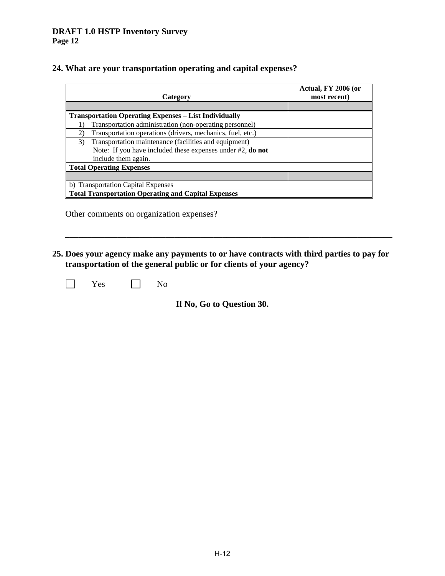## **24. What are your transportation operating and capital expenses?**

| Category                                                     | Actual, FY 2006 (or<br>most recent) |
|--------------------------------------------------------------|-------------------------------------|
|                                                              |                                     |
| <b>Transportation Operating Expenses - List Individually</b> |                                     |
| Transportation administration (non-operating personnel)      |                                     |
| Transportation operations (drivers, mechanics, fuel, etc.)   |                                     |
| Transportation maintenance (facilities and equipment)<br>3)  |                                     |
| Note: If you have included these expenses under #2, do not   |                                     |
| include them again.                                          |                                     |
| <b>Total Operating Expenses</b>                              |                                     |
|                                                              |                                     |
| b) Transportation Capital Expenses                           |                                     |
| <b>Total Transportation Operating and Capital Expenses</b>   |                                     |

Other comments on organization expenses?

**25. Does your agency make any payments to or have contracts with third parties to pay for transportation of the general public or for clients of your agency?** 

\_\_\_\_\_\_\_\_\_\_\_\_\_\_\_\_\_\_\_\_\_\_\_\_\_\_\_\_\_\_\_\_\_\_\_\_\_\_\_\_\_\_\_\_\_\_\_\_\_\_\_\_\_\_\_\_\_\_\_\_\_\_\_\_\_\_\_\_\_\_\_\_\_\_\_

No Nes No

**If No, Go to Question 30.**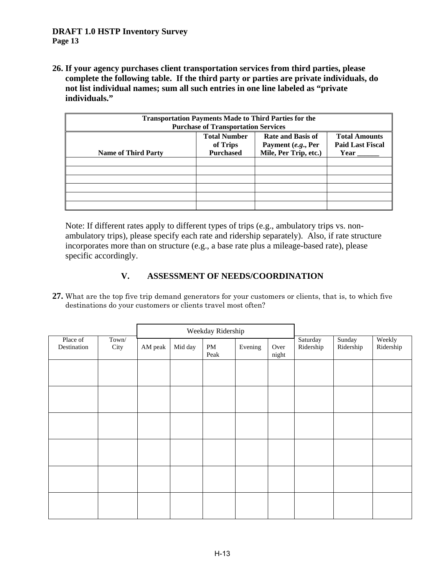**26. If your agency purchases client transportation services from third parties, please complete the following table. If the third party or parties are private individuals, do not list individual names; sum all such entries in one line labeled as "private individuals."** 

| <b>Transportation Payments Made to Third Parties for the</b><br><b>Purchase of Transportation Services</b> |                                                     |                                                                         |                                                         |  |  |
|------------------------------------------------------------------------------------------------------------|-----------------------------------------------------|-------------------------------------------------------------------------|---------------------------------------------------------|--|--|
| <b>Name of Third Party</b>                                                                                 | <b>Total Number</b><br>of Trips<br><b>Purchased</b> | <b>Rate and Basis of</b><br>Payment (e.g., Per<br>Mile, Per Trip, etc.) | <b>Total Amounts</b><br><b>Paid Last Fiscal</b><br>Year |  |  |
|                                                                                                            |                                                     |                                                                         |                                                         |  |  |
|                                                                                                            |                                                     |                                                                         |                                                         |  |  |
|                                                                                                            |                                                     |                                                                         |                                                         |  |  |
|                                                                                                            |                                                     |                                                                         |                                                         |  |  |
|                                                                                                            |                                                     |                                                                         |                                                         |  |  |
|                                                                                                            |                                                     |                                                                         |                                                         |  |  |

 Note: If different rates apply to different types of trips (e.g., ambulatory trips vs. nonambulatory trips), please specify each rate and ridership separately). Also, if rate structure incorporates more than on structure (e.g., a base rate plus a mileage-based rate), please specific accordingly.

# **V. ASSESSMENT OF NEEDS/COORDINATION**

**27.** What are the top five trip demand generators for your customers or clients, that is, to which five destinations do your customers or clients travel most often?

|                         |               | Weekday Ridership |         |            |         |               |                       |                     |                     |
|-------------------------|---------------|-------------------|---------|------------|---------|---------------|-----------------------|---------------------|---------------------|
| Place of<br>Destination | Town/<br>City | AM peak           | Mid day | PM<br>Peak | Evening | Over<br>night | Saturday<br>Ridership | Sunday<br>Ridership | Weekly<br>Ridership |
|                         |               |                   |         |            |         |               |                       |                     |                     |
|                         |               |                   |         |            |         |               |                       |                     |                     |
|                         |               |                   |         |            |         |               |                       |                     |                     |
|                         |               |                   |         |            |         |               |                       |                     |                     |
|                         |               |                   |         |            |         |               |                       |                     |                     |
|                         |               |                   |         |            |         |               |                       |                     |                     |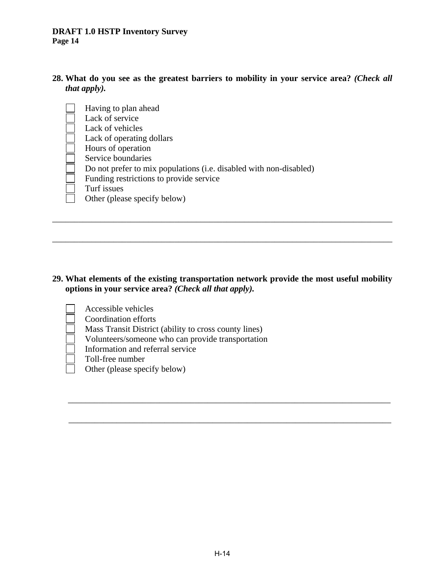- **28. What do you see as the greatest barriers to mobility in your service area?** *(Check all that apply).* 
	- Having to plan ahead Lack of service Lack of vehicles Lack of operating dollars Hours of operation Service boundaries Do not prefer to mix populations (i.e. disabled with non-disabled) Funding restrictions to provide service Turf issues Other (please specify below)

#### **29. What elements of the existing transportation network provide the most useful mobility options in your service area?** *(Check all that apply).*

\_\_\_\_\_\_\_\_\_\_\_\_\_\_\_\_\_\_\_\_\_\_\_\_\_\_\_\_\_\_\_\_\_\_\_\_\_\_\_\_\_\_\_\_\_\_\_\_\_\_\_\_\_\_\_\_\_\_\_\_\_\_\_\_\_\_\_\_\_\_\_\_\_\_

 $\overline{\phantom{a}}$  , and the contribution of the contribution of the contribution of the contribution of the contribution of the contribution of the contribution of the contribution of the contribution of the contribution of the

\_\_\_\_\_\_\_\_\_\_\_\_\_\_\_\_\_\_\_\_\_\_\_\_\_\_\_\_\_\_\_\_\_\_\_\_\_\_\_\_\_\_\_\_\_\_\_\_\_\_\_\_\_\_\_\_\_\_\_\_\_\_\_\_\_\_\_\_\_\_\_\_\_\_\_\_\_\_

\_\_\_\_\_\_\_\_\_\_\_\_\_\_\_\_\_\_\_\_\_\_\_\_\_\_\_\_\_\_\_\_\_\_\_\_\_\_\_\_\_\_\_\_\_\_\_\_\_\_\_\_\_\_\_\_\_\_\_\_\_\_\_\_\_\_\_\_\_\_\_\_\_\_\_\_\_\_

 Accessible vehicles Coordination efforts Mass Transit District (ability to cross county lines) Volunteers/someone who can provide transportation Information and referral service Toll-free number Other (please specify below)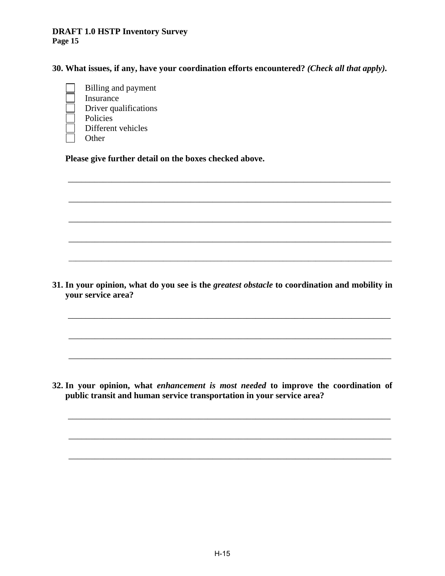**30. What issues, if any, have your coordination efforts encountered?** *(Check all that apply).*

 Billing and payment Insurance Driver qualifications Policies Different vehicles **Other** 

 **Please give further detail on the boxes checked above.**

**31. In your opinion, what do you see is the** *greatest obstacle* **to coordination and mobility in your service area?** 

 $\overline{\phantom{a}}$  , and the contribution of the contribution of the contribution of the contribution of the contribution of the contribution of the contribution of the contribution of the contribution of the contribution of the

 $\overline{\phantom{a}}$  , and the contribution of the contribution of the contribution of the contribution of the contribution of the contribution of the contribution of the contribution of the contribution of the contribution of the

\_\_\_\_\_\_\_\_\_\_\_\_\_\_\_\_\_\_\_\_\_\_\_\_\_\_\_\_\_\_\_\_\_\_\_\_\_\_\_\_\_\_\_\_\_\_\_\_\_\_\_\_\_\_\_\_\_\_\_\_\_\_\_\_\_\_\_\_\_\_\_\_\_\_

\_\_\_\_\_\_\_\_\_\_\_\_\_\_\_\_\_\_\_\_\_\_\_\_\_\_\_\_\_\_\_\_\_\_\_\_\_\_\_\_\_\_\_\_\_\_\_\_\_\_\_\_\_\_\_\_\_\_\_\_\_\_\_\_\_\_\_\_\_\_\_\_\_\_

 $\overline{\phantom{a}}$  , and the contribution of the contribution of the contribution of the contribution of the contribution of the contribution of the contribution of the contribution of the contribution of the contribution of the

 $\overline{\phantom{a}}$  , and the contribution of the contribution of the contribution of the contribution of the contribution of the contribution of the contribution of the contribution of the contribution of the contribution of the

 $\overline{\phantom{a}}$  ,  $\overline{\phantom{a}}$  ,  $\overline{\phantom{a}}$  ,  $\overline{\phantom{a}}$  ,  $\overline{\phantom{a}}$  ,  $\overline{\phantom{a}}$  ,  $\overline{\phantom{a}}$  ,  $\overline{\phantom{a}}$  ,  $\overline{\phantom{a}}$  ,  $\overline{\phantom{a}}$  ,  $\overline{\phantom{a}}$  ,  $\overline{\phantom{a}}$  ,  $\overline{\phantom{a}}$  ,  $\overline{\phantom{a}}$  ,  $\overline{\phantom{a}}$  ,  $\overline{\phantom{a}}$ 

 $\mathcal{L} = \{ \mathcal{L} = \{ \mathcal{L} = \{ \mathcal{L} = \mathcal{L} \} \mid \mathcal{L} = \{ \mathcal{L} = \{ \mathcal{L} = \mathcal{L} \} \mid \mathcal{L} = \{ \mathcal{L} = \{ \mathcal{L} = \mathcal{L} = \mathcal{L} \} \mid \mathcal{L} = \{ \mathcal{L} = \{ \mathcal{L} = \mathcal{L} = \mathcal{L} = \mathcal{L} \} \mid \mathcal{L} = \{ \mathcal{L} = \{ \mathcal{L} = \{ \mathcal{L} = \mathcal{L} = \mathcal{L} = \math$ 

**32. In your opinion, what** *enhancement is most needed* **to improve the coordination of public transit and human service transportation in your service area?** 

 $\overline{\phantom{a}}$  , and the contribution of the contribution of the contribution of the contribution of the contribution of the contribution of the contribution of the contribution of the contribution of the contribution of the

 $\overline{\phantom{a}}$  , and the contribution of the contribution of the contribution of the contribution of the contribution of the contribution of the contribution of the contribution of the contribution of the contribution of the

\_\_\_\_\_\_\_\_\_\_\_\_\_\_\_\_\_\_\_\_\_\_\_\_\_\_\_\_\_\_\_\_\_\_\_\_\_\_\_\_\_\_\_\_\_\_\_\_\_\_\_\_\_\_\_\_\_\_\_\_\_\_\_\_\_\_\_\_\_\_\_\_\_\_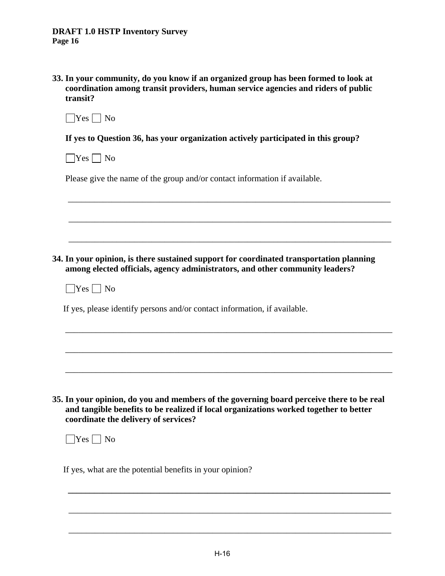| 33. In your community, do you know if an organized group has been formed to look at |
|-------------------------------------------------------------------------------------|
| coordination among transit providers, human service agencies and riders of public   |
| transit?                                                                            |

| M. |  |  |
|----|--|--|
|----|--|--|

**If yes to Question 36, has your organization actively participated in this group?** 

 $\Box$ Yes  $\Box$  No

Please give the name of the group and/or contact information if available.

**34. In your opinion, is there sustained support for coordinated transportation planning among elected officials, agency administrators, and other community leaders?** 

\_\_\_\_\_\_\_\_\_\_\_\_\_\_\_\_\_\_\_\_\_\_\_\_\_\_\_\_\_\_\_\_\_\_\_\_\_\_\_\_\_\_\_\_\_\_\_\_\_\_\_\_\_\_\_\_\_\_\_\_\_\_\_\_\_\_\_\_\_\_\_\_\_\_

 $\overline{\phantom{a}}$  , and the contribution of the contribution of the contribution of the contribution of the contribution of the contribution of the contribution of the contribution of the contribution of the contribution of the

 $\overline{\phantom{a}}$  ,  $\overline{\phantom{a}}$  ,  $\overline{\phantom{a}}$  ,  $\overline{\phantom{a}}$  ,  $\overline{\phantom{a}}$  ,  $\overline{\phantom{a}}$  ,  $\overline{\phantom{a}}$  ,  $\overline{\phantom{a}}$  ,  $\overline{\phantom{a}}$  ,  $\overline{\phantom{a}}$  ,  $\overline{\phantom{a}}$  ,  $\overline{\phantom{a}}$  ,  $\overline{\phantom{a}}$  ,  $\overline{\phantom{a}}$  ,  $\overline{\phantom{a}}$  ,  $\overline{\phantom{a}}$ 

\_\_\_\_\_\_\_\_\_\_\_\_\_\_\_\_\_\_\_\_\_\_\_\_\_\_\_\_\_\_\_\_\_\_\_\_\_\_\_\_\_\_\_\_\_\_\_\_\_\_\_\_\_\_\_\_\_\_\_\_\_\_\_\_\_\_\_\_\_\_\_\_\_\_\_

\_\_\_\_\_\_\_\_\_\_\_\_\_\_\_\_\_\_\_\_\_\_\_\_\_\_\_\_\_\_\_\_\_\_\_\_\_\_\_\_\_\_\_\_\_\_\_\_\_\_\_\_\_\_\_\_\_\_\_\_\_\_\_\_\_\_\_\_\_\_\_\_\_\_\_

\_\_\_\_\_\_\_\_\_\_\_\_\_\_\_\_\_\_\_\_\_\_\_\_\_\_\_\_\_\_\_\_\_\_\_\_\_\_\_\_\_\_\_\_\_\_\_\_\_\_\_\_\_\_\_\_\_\_\_\_\_\_\_\_\_\_\_\_\_\_\_\_\_\_\_

 $\Box$ Yes  $\Box$  No

If yes, please identify persons and/or contact information, if available.

**35. In your opinion, do you and members of the governing board perceive there to be real and tangible benefits to be realized if local organizations worked together to better coordinate the delivery of services?** 

 $\Box$ Yes  $\Box$  No

If yes, what are the potential benefits in your opinion?

 $\overline{\phantom{a}}$  , and the contribution of the contribution of the contribution of the contribution of the contribution of the contribution of the contribution of the contribution of the contribution of the contribution of the

 $\overline{\phantom{a}}$  , and the contribution of the contribution of the contribution of the contribution of the contribution of the contribution of the contribution of the contribution of the contribution of the contribution of the

**\_\_\_\_\_\_\_\_\_\_\_\_\_\_\_\_\_\_\_\_\_\_\_\_\_\_\_\_\_\_\_\_\_\_\_\_\_\_\_\_\_\_\_\_\_\_\_\_\_\_\_\_\_\_\_\_\_\_\_\_\_\_\_\_\_\_\_\_\_\_\_\_\_\_**